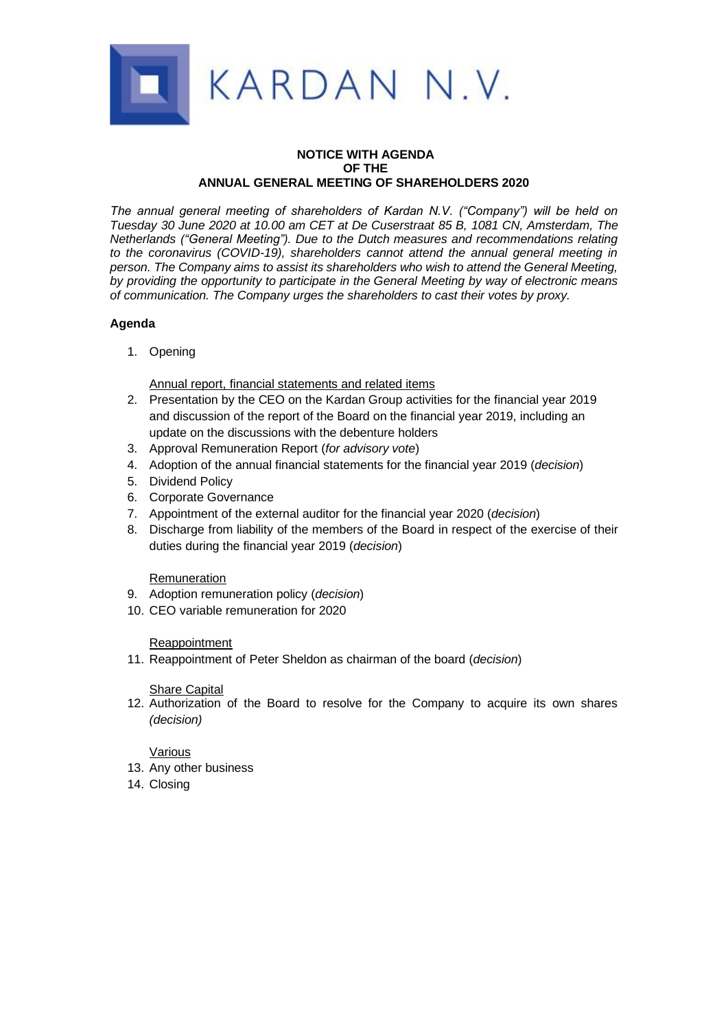

### **NOTICE WITH AGENDA OF THE ANNUAL GENERAL MEETING OF SHAREHOLDERS 2020**

*The annual general meeting of shareholders of Kardan N.V. ("Company") will be held on Tuesday 30 June 2020 at 10.00 am CET at De Cuserstraat 85 B, 1081 CN, Amsterdam, The Netherlands ("General Meeting"). Due to the Dutch measures and recommendations relating to the coronavirus (COVID-19), shareholders cannot attend the annual general meeting in person. The Company aims to assist its shareholders who wish to attend the General Meeting, by providing the opportunity to participate in the General Meeting by way of electronic means of communication. The Company urges the shareholders to cast their votes by proxy.*

# **Agenda**

1. Opening

Annual report, financial statements and related items

- 2. Presentation by the CEO on the Kardan Group activities for the financial year 2019 and discussion of the report of the Board on the financial year 2019, including an update on the discussions with the debenture holders
- 3. Approval Remuneration Report (*for advisory vote*)
- 4. Adoption of the annual financial statements for the financial year 2019 (*decision*)
- 5. Dividend Policy
- 6. Corporate Governance
- 7. Appointment of the external auditor for the financial year 2020 (*decision*)
- 8. Discharge from liability of the members of the Board in respect of the exercise of their duties during the financial year 2019 (*decision*)

# Remuneration

- 9. Adoption remuneration policy (*decision*)
- 10. CEO variable remuneration for 2020

### Reappointment

11. Reappointment of Peter Sheldon as chairman of the board (*decision*)

# Share Capital

12. Authorization of the Board to resolve for the Company to acquire its own shares *(decision)*

### Various

- 13. Any other business
- 14. Closing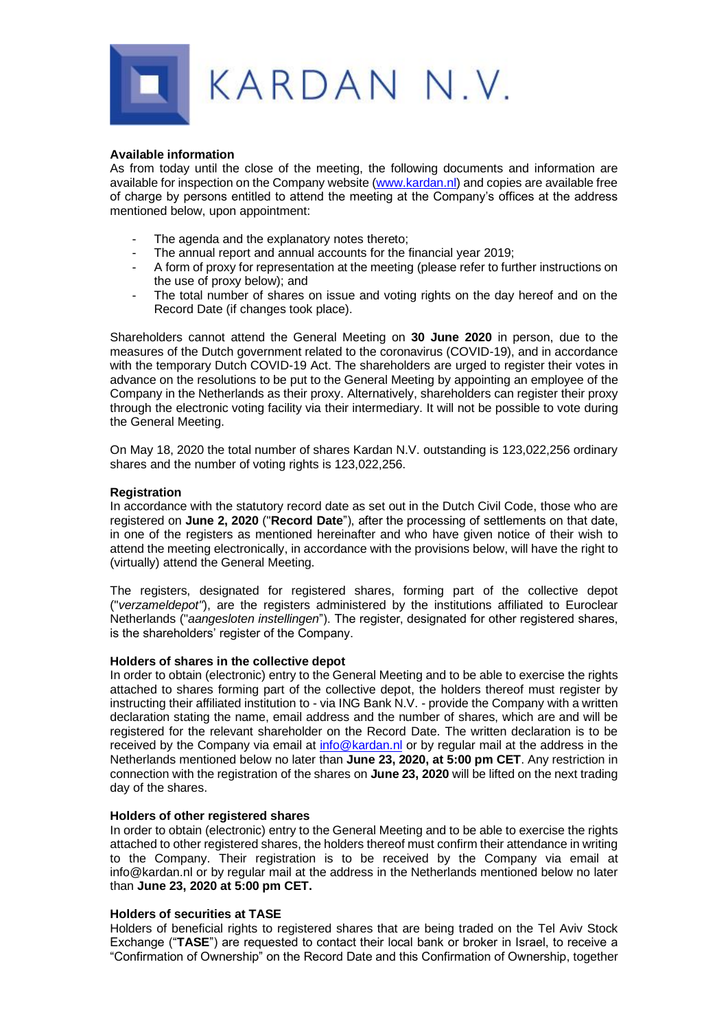

#### **Available information**

As from today until the close of the meeting, the following documents and information are available for inspection on the Company website [\(www.kardan.nl\)](http://www.kardan.nl/) and copies are available free of charge by persons entitled to attend the meeting at the Company's offices at the address mentioned below, upon appointment:

- The agenda and the explanatory notes thereto;
- The annual report and annual accounts for the financial year 2019;
- A form of proxy for representation at the meeting (please refer to further instructions on the use of proxy below); and
- The total number of shares on issue and voting rights on the day hereof and on the Record Date (if changes took place).

Shareholders cannot attend the General Meeting on **30 June 2020** in person, due to the measures of the Dutch government related to the coronavirus (COVID-19), and in accordance with the temporary Dutch COVID-19 Act. The shareholders are urged to register their votes in advance on the resolutions to be put to the General Meeting by appointing an employee of the Company in the Netherlands as their proxy. Alternatively, shareholders can register their proxy through the electronic voting facility via their intermediary. It will not be possible to vote during the General Meeting.

On May 18, 2020 the total number of shares Kardan N.V. outstanding is 123,022,256 ordinary shares and the number of voting rights is 123,022,256.

### **Registration**

In accordance with the statutory record date as set out in the Dutch Civil Code, those who are registered on **June 2, 2020** ("**Record Date**"), after the processing of settlements on that date, in one of the registers as mentioned hereinafter and who have given notice of their wish to attend the meeting electronically, in accordance with the provisions below, will have the right to (virtually) attend the General Meeting.

The registers, designated for registered shares, forming part of the collective depot ("*verzameldepot"*), are the registers administered by the institutions affiliated to Euroclear Netherlands ("*aangesloten instellingen*"). The register, designated for other registered shares, is the shareholders' register of the Company.

### **Holders of shares in the collective depot**

In order to obtain (electronic) entry to the General Meeting and to be able to exercise the rights attached to shares forming part of the collective depot, the holders thereof must register by instructing their affiliated institution to - via ING Bank N.V. - provide the Company with a written declaration stating the name, email address and the number of shares, which are and will be registered for the relevant shareholder on the Record Date. The written declaration is to be received by the Company via email at [info@kardan.nl](mailto:info@kardan.nl) or by regular mail at the address in the Netherlands mentioned below no later than **June 23, 2020, at 5:00 pm CET**. Any restriction in connection with the registration of the shares on **June 23, 2020** will be lifted on the next trading day of the shares.

### **Holders of other registered shares**

In order to obtain (electronic) entry to the General Meeting and to be able to exercise the rights attached to other registered shares, the holders thereof must confirm their attendance in writing to the Company. Their registration is to be received by the Company via email at info@kardan.nl or by regular mail at the address in the Netherlands mentioned below no later than **June 23, 2020 at 5:00 pm CET.**

### **Holders of securities at TASE**

Holders of beneficial rights to registered shares that are being traded on the Tel Aviv Stock Exchange ("**TASE**") are requested to contact their local bank or broker in Israel, to receive a "Confirmation of Ownership" on the Record Date and this Confirmation of Ownership, together